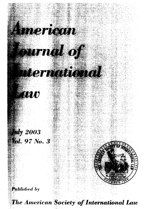

The American Society of International Law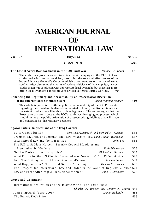# **AMERICAN JOURNAL OF INTERNATIONAL LAW**

#### **VOL.97 July2003 NO. 3**

### **CONTENTS PAGE**

#### **The Law of Aerial Bombardment in the 1991 Gulf War** *Michael W. Lewis* 481

The author analyzes the extent to which the air campaign in the 1991 Gulf war conformed with international law, describing the role and effectiveness of the Judge Advocate General's Corps in advising commanders on the law of armed conflict. After discussing the merits of various criticisms of the campaign, he concludes that it was conducted with appropriate legal oversight, but that even appro-<br>priate legal oversight cannot prevent civilian suffering during wartime. priate legal oversight cannot prevent civilian suffering during wartime.

#### **Enhancing the Legitimacy and Accountability of Prosecutorial Discretion**

#### **at the International Criminal Court** *Allison Marston Danner* 510

This article inquires into both the political accountability of the ICC Prosecutor regarding the considerable discretion invested in him by the Rome Statute and the extent to which he will be able to claim legitimacy. The author argues that the Prosecutor can contribute to the ICC's legitimacy through good process, which should include the public articulation of prosecutorial guidelines that will shape and constrain his discretionary decisions.

#### **Agora: Future Implications of die Iraq Conflict**

| Editors'Introduction                                                              | Lori Fisler Damrosch and Bernard H. Oxman |                    | 553 |
|-----------------------------------------------------------------------------------|-------------------------------------------|--------------------|-----|
| Preemption, Iraq, and International Law William H. TafiTVand ToddF. Buchwald      |                                           |                    | 557 |
| International Law and the War in Iraq                                             |                                           | John Yoo           | 563 |
| The Fall of Saddam Hussein: Security Council Mandates and                         |                                           |                    |     |
| Preemptive Self-Defense                                                           |                                           | Ruth Wedgwood      | 576 |
| Neither Bush nor the "Jurisprudes"                                                |                                           | Richard N. Gardner | 585 |
| What Future for the UN Charter System of War Prevention? *                        |                                           | Richard A. Falk    | 590 |
| Iraq: The Shifting Sands of Preemptive Self-Defense                               |                                           | Miriam Sapiro      | 599 |
| What Happens Now? The United Nations After Iraq                                   |                                           | Thomas M. Franck   | 607 |
| The Prospect for International Law and Order in the Wake of Iraq Tom J. Farer 621 |                                           |                    |     |
| Law and Force After Iraq: A Transitional Moment                                   |                                           | Jane E. Stromseth  | 628 |

#### **Notes and Comments**

International Arbitration and the Islamic World: The Third Phase

*Charles N. Brower and Jeremy K. Sharpe* 643 Joan Fitzpatrick (1950-2003) *Daniel Bodansky* 656 The Francis Deák Prize 658